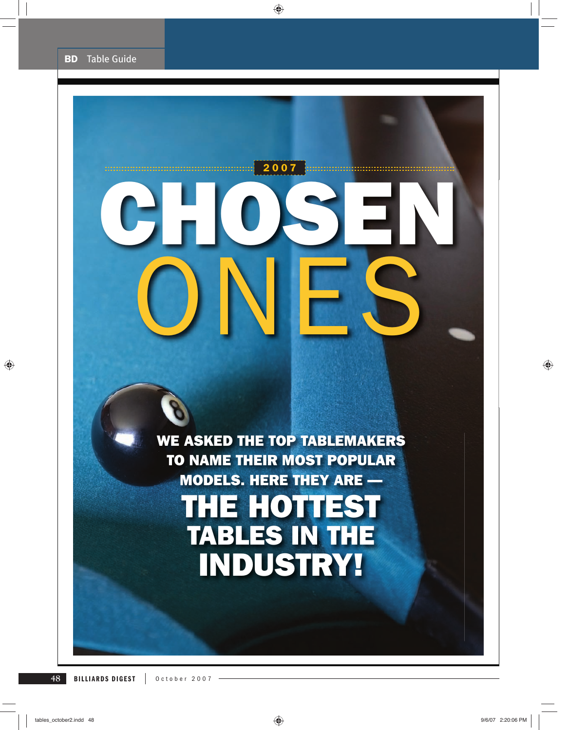# **CHOSEN**  ONES **2007**

**WE ASKED THE TOP TABLEMAKERS TO NAME THEIR MOST POPULAR MODELS. HERE THEY ARE — THE HOTTEST TABLES IN THE INDUSTRY!**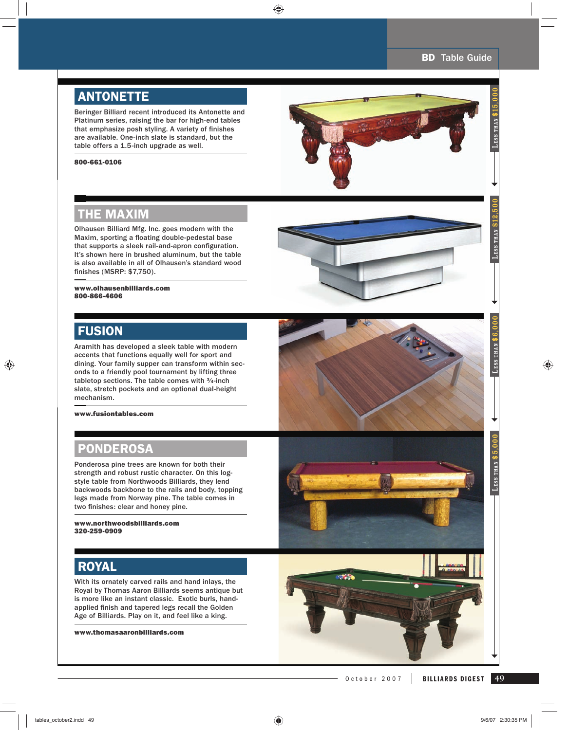LESS THAN \$5,000 **LESS THAN \$6,000** 

LESS THAN \$5.000

LESS THAN \$6

LESS THAN  $\$12.50$ 

# **ANTONETTE**

Beringer Billiard recent introduced its Antonette and Platinum series, raising the bar for high-end tables that emphasize posh styling. A variety of finishes are available. One-inch slate is standard, but the table offers a 1.5-inch upgrade as well.

#### **800-661-0106**



## **THE MAXIM TH**

Olhausen Billiard Mfg. Inc. goes modern with the Olha Maxim, sporting a floating double-pedestal base that supports a sleek rail-and-apron configuration. It's shown here in brushed aluminum, but the table is also available in all of Olhausen's standard wood a fi nishes (MSRP: \$7,750). nis

#### **www.olhausenbilliards.com www 800-866-4606 800**

### **FUSION FU**

Aramith has developed a sleek table with modern Ara accents that functions equally well for sport and acc dining. Your family supper can transform within sec-dini onds to a friendly pool tournament by lifting three tabletop sections. The table comes with  $\frac{3}{4}$ -inch slate, stretch pockets and an optional dual-height mechanism. mec

**www.fusiontables.com**

## **PONDEROSA**

Ponderosa pine trees are known for both their strength and robust rustic character. On this logstyle table from Northwoods Billiards, they lend backwoods backbone to the rails and body, topping legs made from Norway pine. The table comes in two finishes: clear and honey pine.

**www.northwoodsbilliards.com 320-259-0909**

# **ROYAL**

With its ornately carved rails and hand inlays, the Royal by Thomas Aaron Billiards seems antique but is more like an instant classic. Exotic burls, handapplied finish and tapered legs recall the Golden Age of Billiards. Play on it, and feel like a king.

**www.thomasaaronbilliards.com**





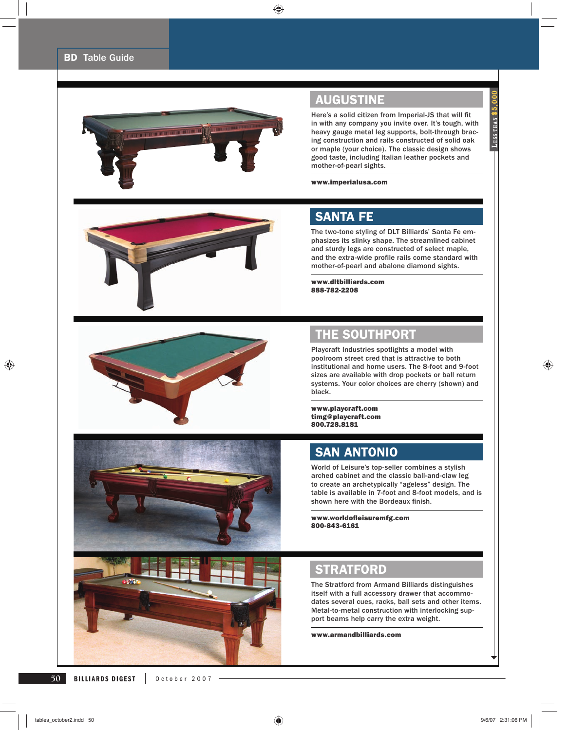

# **AUGUSTINE**

Here's a solid citizen from Imperial-JS that will fit in with any company you invite over. It's tough, with heavy gauge metal leg supports, bolt-through bracing construction and rails constructed of solid oak or maple (your choice). The classic design shows good taste, including Italian leather pockets and mother-of-pearl sights.

#### **www.imperialusa.com**



## **SANTA FE**

The two-tone styling of DLT Billiards' Santa Fe emphasizes its slinky shape. The streamlined cabinet and sturdy legs are constructed of select maple, and the extra-wide profile rails come standard with mother-of-pearl and abalone diamond sights.

**www.dltbilliards.com 888-782-2208**







# **THE SOUTHPORT**

Playcraft Industries spotlights a model with poolroom street cred that is attractive to both institutional and home users. The 8-foot and 9-foot sizes are available with drop pockets or ball return systems. Your color choices are cherry (shown) and black.

**www.playcraft.com timg@playcraft.com 800.728.8181**

## **SAN ANTONIO**

World of Leisure's top-seller combines a stylish arched cabinet and the classic ball-and-claw leg to create an archetypically "ageless" design. The table is available in 7-foot and 8-foot models, and is shown here with the Bordeaux finish.

**www.worldofl eisuremfg.com 800-843-6161**

## **STRATFORD**

The Stratford from Armand Billiards distinguishes itself with a full accessory drawer that accommodates several cues, racks, ball sets and other items. Metal-to-metal construction with interlocking support beams help carry the extra weight.

**www.armandbilliards.com**